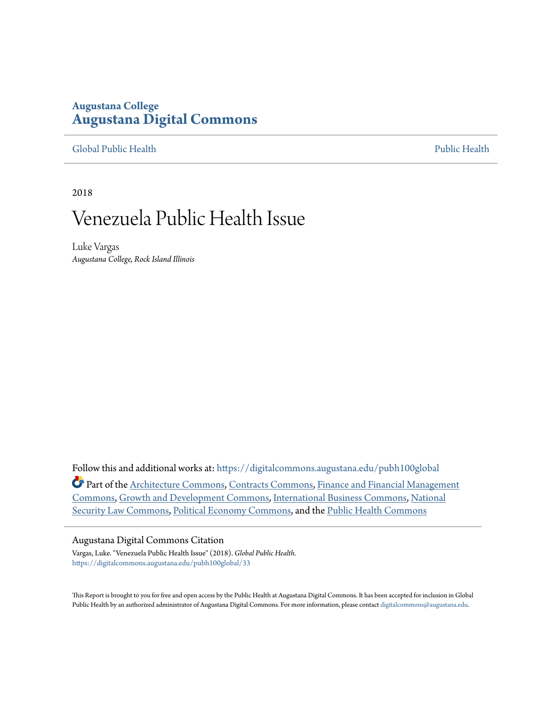# **Augustana College [Augustana Digital Commons](https://digitalcommons.augustana.edu?utm_source=digitalcommons.augustana.edu%2Fpubh100global%2F33&utm_medium=PDF&utm_campaign=PDFCoverPages)**

[Global Public Health](https://digitalcommons.augustana.edu/pubh100global?utm_source=digitalcommons.augustana.edu%2Fpubh100global%2F33&utm_medium=PDF&utm_campaign=PDFCoverPages) [Public Health](https://digitalcommons.augustana.edu/publichealth?utm_source=digitalcommons.augustana.edu%2Fpubh100global%2F33&utm_medium=PDF&utm_campaign=PDFCoverPages)

2018

# Venezuela Public Health Issue

Luke Vargas *Augustana College, Rock Island Illinois*

Follow this and additional works at: [https://digitalcommons.augustana.edu/pubh100global](https://digitalcommons.augustana.edu/pubh100global?utm_source=digitalcommons.augustana.edu%2Fpubh100global%2F33&utm_medium=PDF&utm_campaign=PDFCoverPages) Part of the [Architecture Commons](http://network.bepress.com/hgg/discipline/773?utm_source=digitalcommons.augustana.edu%2Fpubh100global%2F33&utm_medium=PDF&utm_campaign=PDFCoverPages), [Contracts Commons](http://network.bepress.com/hgg/discipline/591?utm_source=digitalcommons.augustana.edu%2Fpubh100global%2F33&utm_medium=PDF&utm_campaign=PDFCoverPages), [Finance and Financial Management](http://network.bepress.com/hgg/discipline/631?utm_source=digitalcommons.augustana.edu%2Fpubh100global%2F33&utm_medium=PDF&utm_campaign=PDFCoverPages) [Commons,](http://network.bepress.com/hgg/discipline/631?utm_source=digitalcommons.augustana.edu%2Fpubh100global%2F33&utm_medium=PDF&utm_campaign=PDFCoverPages) [Growth and Development Commons,](http://network.bepress.com/hgg/discipline/346?utm_source=digitalcommons.augustana.edu%2Fpubh100global%2F33&utm_medium=PDF&utm_campaign=PDFCoverPages) [International Business Commons](http://network.bepress.com/hgg/discipline/634?utm_source=digitalcommons.augustana.edu%2Fpubh100global%2F33&utm_medium=PDF&utm_campaign=PDFCoverPages), [National](http://network.bepress.com/hgg/discipline/1114?utm_source=digitalcommons.augustana.edu%2Fpubh100global%2F33&utm_medium=PDF&utm_campaign=PDFCoverPages) [Security Law Commons,](http://network.bepress.com/hgg/discipline/1114?utm_source=digitalcommons.augustana.edu%2Fpubh100global%2F33&utm_medium=PDF&utm_campaign=PDFCoverPages) [Political Economy Commons](http://network.bepress.com/hgg/discipline/352?utm_source=digitalcommons.augustana.edu%2Fpubh100global%2F33&utm_medium=PDF&utm_campaign=PDFCoverPages), and the [Public Health Commons](http://network.bepress.com/hgg/discipline/738?utm_source=digitalcommons.augustana.edu%2Fpubh100global%2F33&utm_medium=PDF&utm_campaign=PDFCoverPages)

### Augustana Digital Commons Citation

Vargas, Luke. "Venezuela Public Health Issue" (2018). *Global Public Health.* [https://digitalcommons.augustana.edu/pubh100global/33](https://digitalcommons.augustana.edu/pubh100global/33?utm_source=digitalcommons.augustana.edu%2Fpubh100global%2F33&utm_medium=PDF&utm_campaign=PDFCoverPages)

This Report is brought to you for free and open access by the Public Health at Augustana Digital Commons. It has been accepted for inclusion in Global Public Health by an authorized administrator of Augustana Digital Commons. For more information, please contact [digitalcommons@augustana.edu.](mailto:digitalcommons@augustana.edu)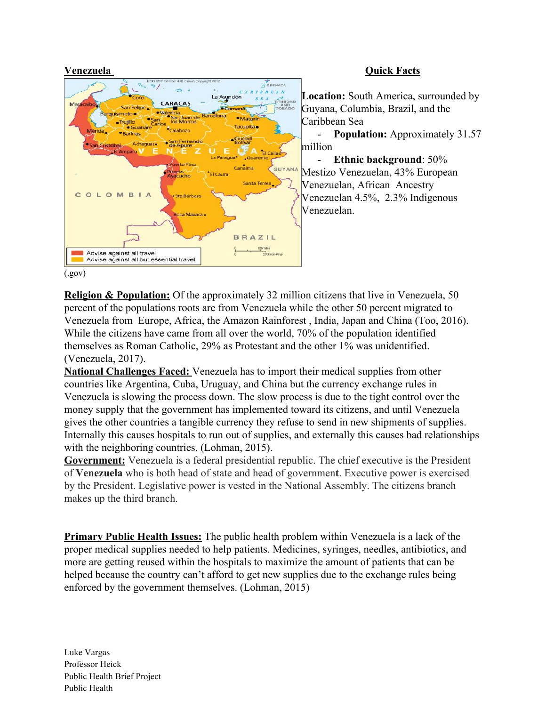

## **Venezuela Quick Facts**

**Location:** South America, surrounded by Guyana, Columbia, Brazil, and the Caribbean Sea

- **Population:** Approximately 31.57 million

- **Ethnic background**: 50% Mestizo Venezuelan, 43% European Venezuelan, African Ancestry Venezuelan 4.5%, 2.3% Indigenous Venezuelan.

(.gov)

**Religion & Population:** Of the approximately 32 million citizens that live in Venezuela, 50 percent of the populations roots are from Venezuela while the other 50 percent migrated to Venezuela from Europe, Africa, the Amazon Rainforest , India, Japan and China (Too, 2016). While the citizens have came from all over the world, 70% of the population identified themselves as Roman Catholic, 29% as Protestant and the other 1% was unidentified. (Venezuela, 2017).

**National Challenges Faced:** Venezuela has to import their medical supplies from other countries like Argentina, Cuba, Uruguay, and China but the currency exchange rules in Venezuela is slowing the process down. The slow process is due to the tight control over the money supply that the government has implemented toward its citizens, and until Venezuela gives the other countries a tangible currency they refuse to send in new shipments of supplies. Internally this causes hospitals to run out of supplies, and externally this causes bad relationships with the neighboring countries. (Lohman, 2015).

**Government:** Venezuela is a federal presidential republic. The chief executive is the President of **Venezuela** who is both head of state and head of governmen**t**. Executive power is exercised by the President. Legislative power is vested in the National Assembly. The citizens branch makes up the third branch.

**Primary Public Health Issues:** The public health problem within Venezuela is a lack of the proper medical supplies needed to help patients. Medicines, syringes, needles, antibiotics, and more are getting reused within the hospitals to maximize the amount of patients that can be helped because the country can't afford to get new supplies due to the exchange rules being enforced by the government themselves. (Lohman, 2015)